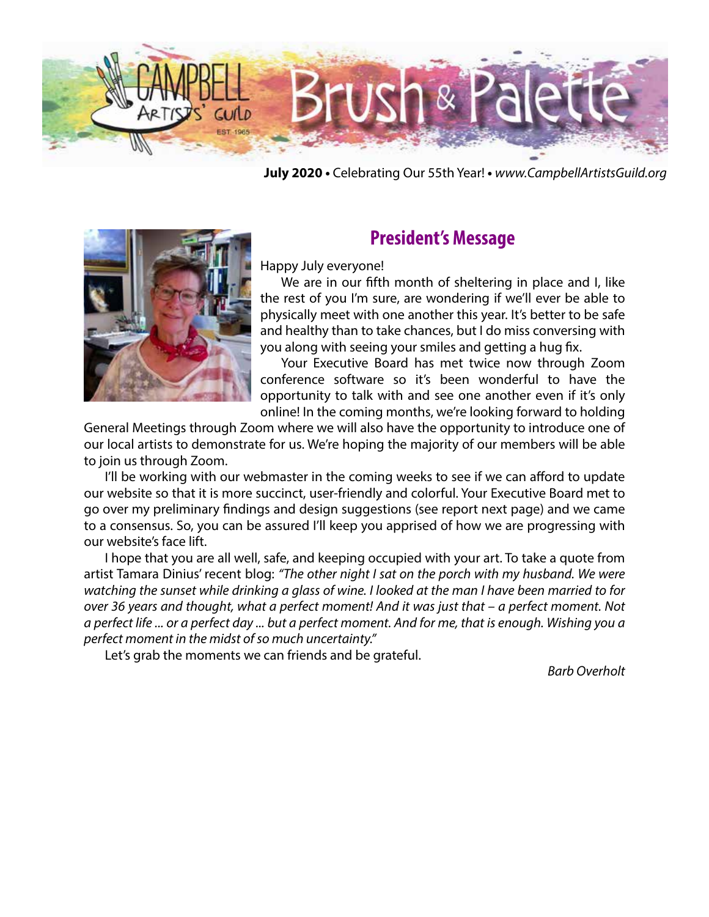

**July 2020 •** Celebrating Our 55th Year! **•** *www.CampbellArtistsGuild.org*



### **President's Message**

Happy July everyone!

We are in our fifth month of sheltering in place and I, like the rest of you I'm sure, are wondering if we'll ever be able to physically meet with one another this year. It's better to be safe and healthy than to take chances, but I do miss conversing with you along with seeing your smiles and getting a hug fix.

Your Executive Board has met twice now through Zoom conference software so it's been wonderful to have the opportunity to talk with and see one another even if it's only online! In the coming months, we're looking forward to holding

General Meetings through Zoom where we will also have the opportunity to introduce one of our local artists to demonstrate for us. We're hoping the majority of our members will be able to join us through Zoom.

I'll be working with our webmaster in the coming weeks to see if we can afford to update our website so that it is more succinct, user-friendly and colorful. Your Executive Board met to go over my preliminary findings and design suggestions (see report next page) and we came to a consensus. So, you can be assured I'll keep you apprised of how we are progressing with our website's face lift.

I hope that you are all well, safe, and keeping occupied with your art. To take a quote from artist Tamara Dinius' recent blog: *"The other night I sat on the porch with my husband. We were watching the sunset while drinking a glass of wine. I looked at the man I have been married to for over 36 years and thought, what a perfect moment! And it was just that – a perfect moment. Not a perfect life ... or a perfect day ... but a perfect moment. And for me, that is enough. Wishing you a perfect moment in the midst of so much uncertainty."*

Let's grab the moments we can friends and be grateful.

*Barb Overholt*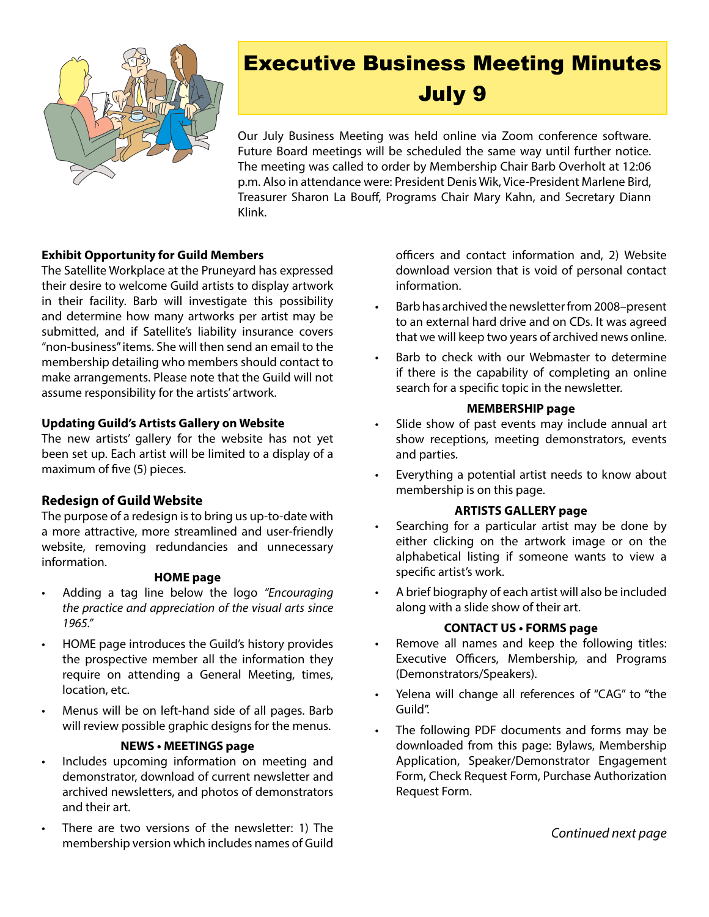

# Executive Business Meeting Minutes July 9

Our July Business Meeting was held online via Zoom conference software. Future Board meetings will be scheduled the same way until further notice. The meeting was called to order by Membership Chair Barb Overholt at 12:06 p.m. Also in attendance were: President Denis Wik, Vice-President Marlene Bird, Treasurer Sharon La Bouff, Programs Chair Mary Kahn, and Secretary Diann Klink.

#### **Exhibit Opportunity for Guild Members**

The Satellite Workplace at the Pruneyard has expressed their desire to welcome Guild artists to display artwork in their facility. Barb will investigate this possibility and determine how many artworks per artist may be submitted, and if Satellite's liability insurance covers "non-business" items. She will then send an email to the membership detailing who members should contact to make arrangements. Please note that the Guild will not assume responsibility for the artists' artwork.

#### **Updating Guild's Artists Gallery on Website**

The new artists' gallery for the website has not yet been set up. Each artist will be limited to a display of a maximum of five (5) pieces.

#### **Redesign of Guild Website**

The purpose of a redesign is to bring us up-to-date with a more attractive, more streamlined and user-friendly website, removing redundancies and unnecessary information.

#### **HOME page**

- Adding a tag line below the logo "Encouraging *the practice and appreciation of the visual arts since 1965."*
- HOME page introduces the Guild's history provides the prospective member all the information they require on attending a General Meeting, times, location, etc.
- Menus will be on left-hand side of all pages. Barb will review possible graphic designs for the menus.

#### **NEWS • MEETINGS page**

- Includes upcoming information on meeting and demonstrator, download of current newsletter and archived newsletters, and photos of demonstrators and their art.
- There are two versions of the newsletter: 1) The membership version which includes names of Guild

officers and contact information and, 2) Website download version that is void of personal contact information.

- Barb has archived the newsletter from 2008–present to an external hard drive and on CDs. It was agreed that we will keep two years of archived news online.
- Barb to check with our Webmaster to determine if there is the capability of completing an online search for a specific topic in the newsletter.

#### **MEMBERSHIP page**

- Slide show of past events may include annual art show receptions, meeting demonstrators, events and parties.
- Everything a potential artist needs to know about membership is on this page.

#### **ARTISTS GALLERY page**

- Searching for a particular artist may be done by either clicking on the artwork image or on the alphabetical listing if someone wants to view a specific artist's work.
- A brief biography of each artist will also be included along with a slide show of their art.

#### **CONTACT US • FORMS page**

- • Remove all names and keep the following titles: Executive Officers, Membership, and Programs (Demonstrators/Speakers).
- Yelena will change all references of "CAG" to "the Guild".
- The following PDF documents and forms may be downloaded from this page: Bylaws, Membership Application, Speaker/Demonstrator Engagement Form, Check Request Form, Purchase Authorization Request Form.

*Continued next page*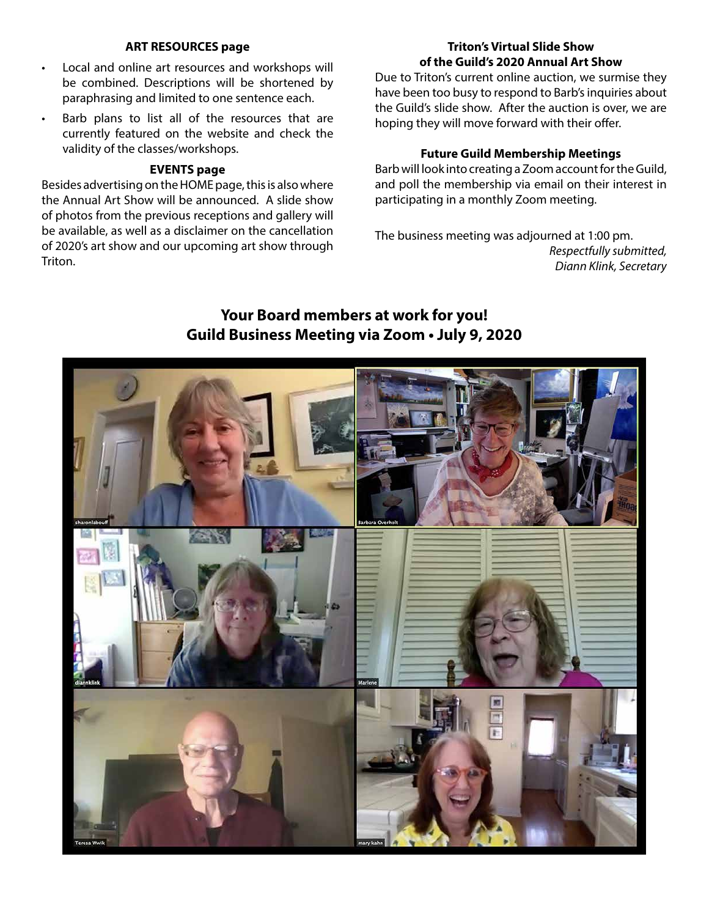#### **ART RESOURCES page**

- • Local and online art resources and workshops will be combined. Descriptions will be shortened by paraphrasing and limited to one sentence each.
- Barb plans to list all of the resources that are currently featured on the website and check the validity of the classes/workshops.

#### **EVENTS page**

Besides advertising on the HOME page, this is also where the Annual Art Show will be announced. A slide show of photos from the previous receptions and gallery will be available, as well as a disclaimer on the cancellation of 2020's art show and our upcoming art show through Triton.

#### **Triton's Virtual Slide Show of the Guild's 2020 Annual Art Show**

Due to Triton's current online auction, we surmise they have been too busy to respond to Barb's inquiries about the Guild's slide show. After the auction is over, we are hoping they will move forward with their offer.

#### **Future Guild Membership Meetings**

Barb will look into creating a Zoom account for the Guild, and poll the membership via email on their interest in participating in a monthly Zoom meeting.

The business meeting was adjourned at 1:00 pm. *Respectfully submitted, Diann Klink, Secretary*

#### **Your Board members at work for you! Guild Business Meeting via Zoom • July 9, 2020**